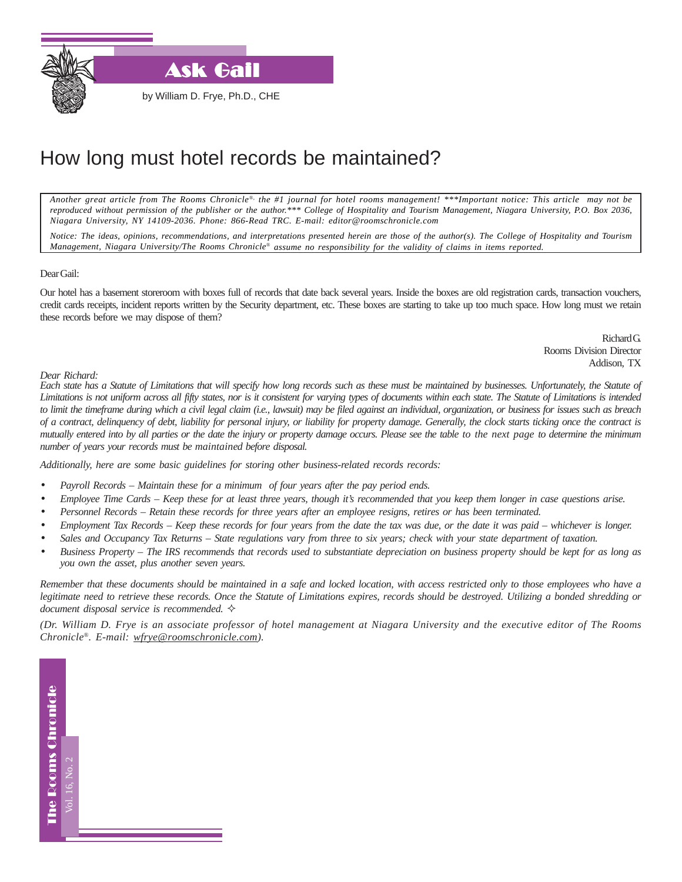

**Ask Gail** 

by William D. Frye, Ph.D., CHE

## How long must hotel records be maintained?

*Another great article from The Rooms Chronicle*®*, the #1 journal for hotel rooms management! \*\*\*Important notice: This article may not be reproduced without permission of the publisher or the author.\*\*\* College of Hospitality and Tourism Management, Niagara University, P.O. Box 2036, Niagara University, NY 14109-2036. Phone: 866-Read TRC. E-mail: editor@roomschronicle.com*

*Notice: The ideas, opinions, recommendations, and interpretations presented herein are those of the author(s). The College of Hospitality and Tourism Management, Niagara University/The Rooms Chronicle*® *assume no responsibility for the validity of claims in items reported.*

## Dear Gail:

Our hotel has a basement storeroom with boxes full of records that date back several years. Inside the boxes are old registration cards, transaction vouchers, credit cards receipts, incident reports written by the Security department, etc. These boxes are starting to take up too much space. How long must we retain these records before we may dispose of them?

> Richard G. Rooms Division Director Addison, TX

## *Dear Richard:*

*Each state has a Statute of Limitations that will specify how long records such as these must be maintained by businesses. Unfortunately, the Statute of Limitations is not uniform across all fifty states, nor is it consistent for varying types of documents within each state. The Statute of Limitations is intended to limit the timeframe during which a civil legal claim (i.e., lawsuit) may be filed against an individual, organization, or business for issues such as breach of a contract, delinquency of debt, liability for personal injury, or liability for property damage. Generally, the clock starts ticking once the contract is mutually entered into by all parties or the date the injury or property damage occurs. Please see the table to the next page to determine the minimum number of years your records must be maintained before disposal.*

*Additionally, here are some basic guidelines for storing other business-related records records:*

- *Payroll Records Maintain these for a minimum of four years after the pay period ends.*
- *Employee Time Cards Keep these for at least three years, though it's recommended that you keep them longer in case questions arise.*
- *Personnel Records Retain these records for three years after an employee resigns, retires or has been terminated.*
- *Employment Tax Records Keep these records for four years from the date the tax was due, or the date it was paid whichever is longer.*
- *Sales and Occupancy Tax Returns State regulations vary from three to six years; check with your state department of taxation.*
- *Business Property The IRS recommends that records used to substantiate depreciation on business property should be kept for as long as you own the asset, plus another seven years.*

*Remember that these documents should be maintained in a safe and locked location, with access restricted only to those employees who have a legitimate need to retrieve these records. Once the Statute of Limitations expires, records should be destroyed. Utilizing a bonded shredding or document disposal service is recommended.* 

*(Dr. William D. Frye is an associate professor of hotel management at Niagara University and the executive editor of The Rooms Chronicle®. E-mail: wfrye@roomschronicle.com).*